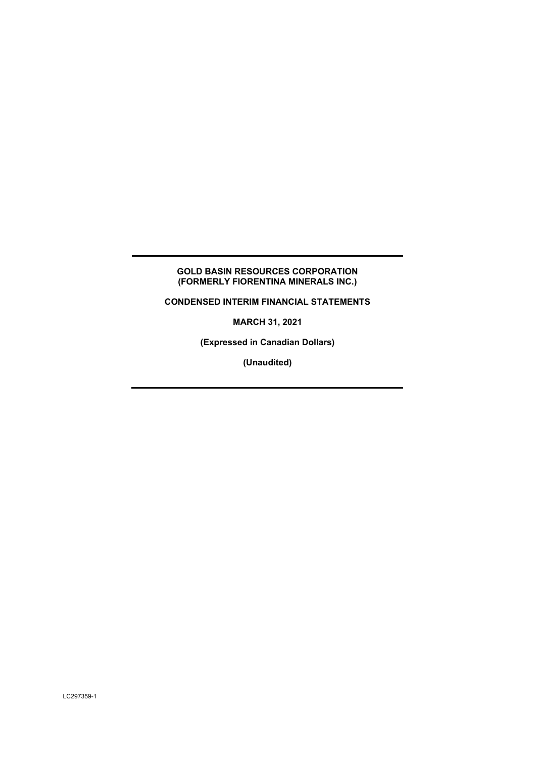# **GOLD BASIN RESOURCES CORPORATION (FORMERLY FIORENTINA MINERALS INC.)**

**CONDENSED INTERIM FINANCIAL STATEMENTS** 

**MARCH 31, 2021** 

**(Expressed in Canadian Dollars)** 

**(Unaudited)**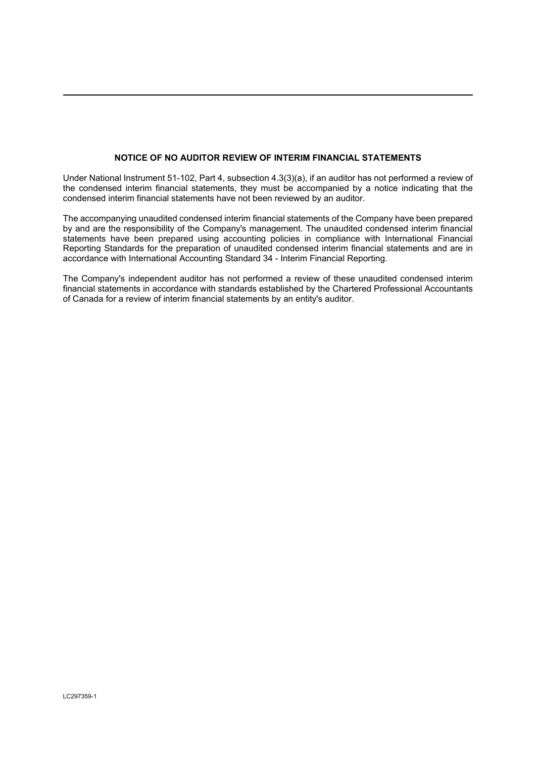# **NOTICE OF NO AUDITOR REVIEW OF INTERIM FINANCIAL STATEMENTS**

Under National Instrument 51-102, Part 4, subsection 4.3(3)(a), if an auditor has not performed a review of the condensed interim financial statements, they must be accompanied by a notice indicating that the condensed interim financial statements have not been reviewed by an auditor.

The accompanying unaudited condensed interim financial statements of the Company have been prepared by and are the responsibility of the Company's management. The unaudited condensed interim financial statements have been prepared using accounting policies in compliance with International Financial Reporting Standards for the preparation of unaudited condensed interim financial statements and are in accordance with International Accounting Standard 34 - Interim Financial Reporting.

The Company's independent auditor has not performed a review of these unaudited condensed interim financial statements in accordance with standards established by the Chartered Professional Accountants of Canada for a review of interim financial statements by an entity's auditor.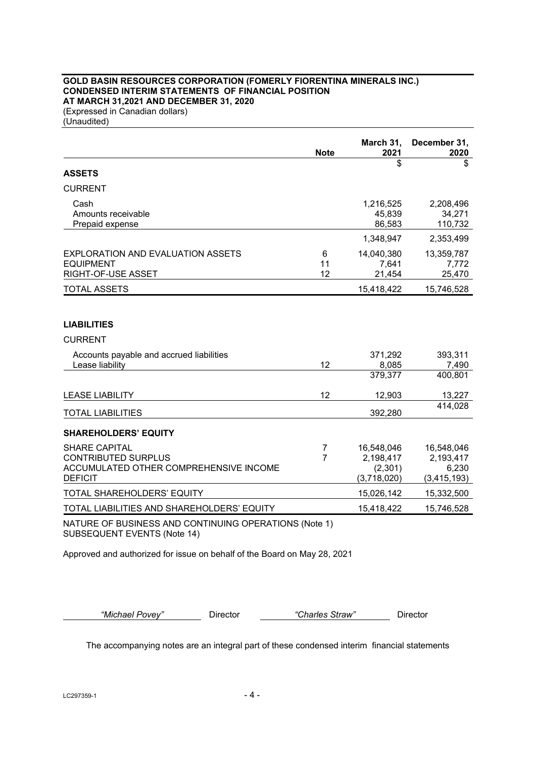# **GOLD BASIN RESOURCES CORPORATION (FOMERLY FIORENTINA MINERALS INC.) CONDENSED INTERIM STATEMENTS OF FINANCIAL POSITION AT MARCH 31,2021 AND DECEMBER 31, 2020**

(Expressed in Canadian dollars) (Unaudited)

|                                                       | <b>Note</b>    | March 31,<br>2021 | December 31,<br>2020 |
|-------------------------------------------------------|----------------|-------------------|----------------------|
| <b>ASSETS</b>                                         |                | \$                | \$                   |
| <b>CURRENT</b>                                        |                |                   |                      |
|                                                       |                |                   |                      |
| Cash                                                  |                | 1,216,525         | 2,208,496            |
| Amounts receivable<br>Prepaid expense                 |                | 45,839<br>86,583  | 34,271<br>110,732    |
|                                                       |                |                   |                      |
|                                                       |                | 1,348,947         | 2,353,499            |
| <b>EXPLORATION AND EVALUATION ASSETS</b>              | 6              | 14,040,380        | 13,359,787           |
| <b>EQUIPMENT</b>                                      | 11             | 7,641             | 7,772                |
| RIGHT-OF-USE ASSET                                    | 12             | 21,454            | 25,470               |
| <b>TOTAL ASSETS</b>                                   |                | 15,418,422        | 15,746,528           |
|                                                       |                |                   |                      |
| <b>LIABILITIES</b>                                    |                |                   |                      |
| <b>CURRENT</b>                                        |                |                   |                      |
| Accounts payable and accrued liabilities              |                | 371,292           | 393,311              |
| Lease liability                                       | 12             | 8,085             | 7,490                |
|                                                       |                | 379,377           | 400,801              |
| <b>LEASE LIABILITY</b>                                | 12             | 12,903            | 13,227               |
| <b>TOTAL LIABILITIES</b>                              |                | 392,280           | 414,028              |
|                                                       |                |                   |                      |
| <b>SHAREHOLDERS' EQUITY</b>                           |                |                   |                      |
| <b>SHARE CAPITAL</b>                                  | 7              | 16,548,046        | 16,548,046           |
| <b>CONTRIBUTED SURPLUS</b>                            | $\overline{7}$ | 2,198,417         | 2,193,417            |
| ACCUMULATED OTHER COMPREHENSIVE INCOME                |                | (2,301)           | 6,230                |
| <b>DEFICIT</b>                                        |                | (3,718,020)       | (3, 415, 193)        |
| TOTAL SHAREHOLDERS' EQUITY                            |                | 15,026,142        | 15,332,500           |
| TOTAL LIABILITIES AND SHAREHOLDERS' EQUITY            |                | 15,418,422        | 15,746,528           |
| NATURE OF BUSINESS AND CONTINUING OPERATIONS (Note 1) |                |                   |                      |

SUBSEQUENT EVENTS (Note 14)

Approved and authorized for issue on behalf of the Board on May 28, 2021

*"Michael Povey"* Director *"Charles Straw"* Director

The accompanying notes are an integral part of these condensed interim financial statements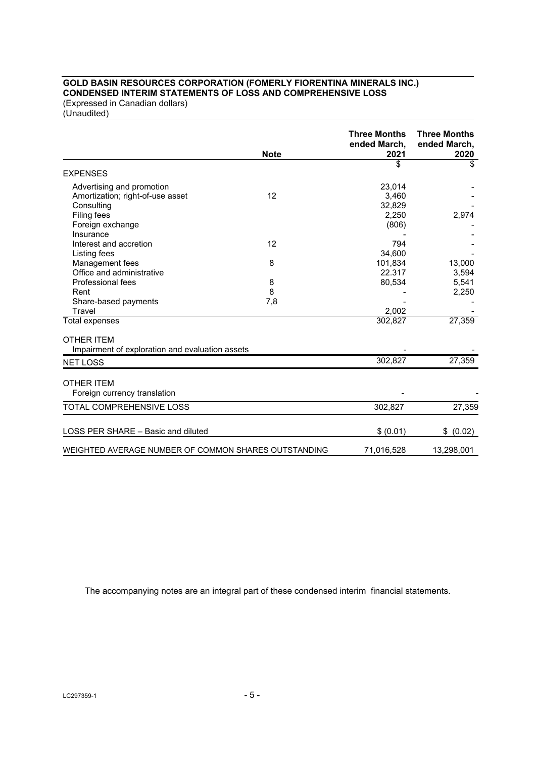# **GOLD BASIN RESOURCES CORPORATION (FOMERLY FIORENTINA MINERALS INC.) CONDENSED INTERIM STATEMENTS OF LOSS AND COMPREHENSIVE LOSS**

(Expressed in Canadian dollars) (Unaudited)

|                                                      |             | <b>Three Months</b><br>ended March, | <b>Three Months</b><br>ended March, |
|------------------------------------------------------|-------------|-------------------------------------|-------------------------------------|
|                                                      | <b>Note</b> | 2021<br>\$                          | 2020<br>\$                          |
| <b>EXPENSES</b>                                      |             |                                     |                                     |
| Advertising and promotion                            |             | 23,014                              |                                     |
| Amortization; right-of-use asset                     | 12          | 3,460                               |                                     |
| Consulting                                           |             | 32,829                              |                                     |
| Filing fees                                          |             | 2,250                               | 2,974                               |
| Foreign exchange                                     |             | (806)                               |                                     |
| Insurance                                            |             |                                     |                                     |
| Interest and accretion                               | 12          | 794                                 |                                     |
| Listing fees                                         |             | 34,600                              |                                     |
| Management fees                                      | 8           | 101,834                             | 13,000                              |
| Office and administrative                            |             | 22.317                              | 3,594                               |
| Professional fees                                    | 8           | 80,534                              | 5,541                               |
| Rent                                                 | 8           |                                     | 2,250                               |
| Share-based payments                                 | 7,8         |                                     |                                     |
| Travel                                               |             | 2,002                               |                                     |
| Total expenses                                       |             | 302,827                             | 27,359                              |
| <b>OTHER ITEM</b>                                    |             |                                     |                                     |
| Impairment of exploration and evaluation assets      |             |                                     |                                     |
| <b>NET LOSS</b>                                      |             | 302,827                             | 27,359                              |
| <b>OTHER ITEM</b>                                    |             |                                     |                                     |
| Foreign currency translation                         |             |                                     |                                     |
| TOTAL COMPREHENSIVE LOSS                             |             | 302,827                             | 27,359                              |
|                                                      |             |                                     |                                     |
| LOSS PER SHARE - Basic and diluted                   |             | \$ (0.01)                           | \$ (0.02)                           |
| WEIGHTED AVERAGE NUMBER OF COMMON SHARES OUTSTANDING |             | 71,016,528                          | 13,298,001                          |

The accompanying notes are an integral part of these condensed interim financial statements.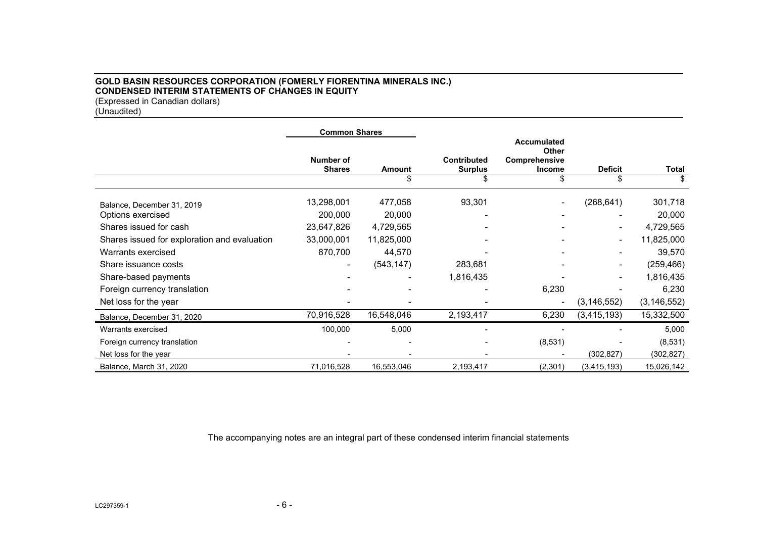### **GOLD BASIN RESOURCES CORPORATION (FOMERLY FIORENTINA MINERALS INC.) CONDENSED INTERIM STATEMENTS OF CHANGES IN EQUITY**  (Expressed in Canadian dollars)

(Unaudited)

|                                              | <b>Common Shares</b>       |              |                                      |                                                                     |                      |               |
|----------------------------------------------|----------------------------|--------------|--------------------------------------|---------------------------------------------------------------------|----------------------|---------------|
|                                              | Number of<br><b>Shares</b> | Amount<br>\$ | <b>Contributed</b><br><b>Surplus</b> | <b>Accumulated</b><br><b>Other</b><br>Comprehensive<br>Income<br>ß. | <b>Deficit</b><br>\$ | Total         |
|                                              |                            |              |                                      |                                                                     |                      |               |
| Balance, December 31, 2019                   | 13,298,001                 | 477,058      | 93,301                               |                                                                     | (268, 641)           | 301,718       |
| Options exercised                            | 200,000                    | 20,000       |                                      |                                                                     |                      | 20,000        |
| Shares issued for cash                       | 23,647,826                 | 4,729,565    |                                      |                                                                     |                      | 4,729,565     |
| Shares issued for exploration and evaluation | 33,000,001                 | 11,825,000   |                                      |                                                                     |                      | 11,825,000    |
| Warrants exercised                           | 870,700                    | 44,570       |                                      |                                                                     |                      | 39,570        |
| Share issuance costs                         |                            | (543, 147)   | 283,681                              |                                                                     |                      | (259, 466)    |
| Share-based payments                         |                            |              | 1,816,435                            |                                                                     |                      | 1,816,435     |
| Foreign currency translation                 |                            |              |                                      | 6,230                                                               |                      | 6,230         |
| Net loss for the year                        |                            |              |                                      | $\overline{a}$                                                      | (3, 146, 552)        | (3, 146, 552) |
| Balance, December 31, 2020                   | 70,916,528                 | 16,548,046   | 2,193,417                            | 6,230                                                               | (3, 415, 193)        | 15,332,500    |
| Warrants exercised                           | 100,000                    | 5,000        |                                      |                                                                     |                      | 5,000         |
| Foreign currency translation                 |                            |              |                                      | (8,531)                                                             |                      | (8, 531)      |
| Net loss for the year                        |                            |              |                                      |                                                                     | (302, 827)           | (302, 827)    |
| Balance, March 31, 2020                      | 71,016,528                 | 16,553,046   | 2,193,417                            | (2,301)                                                             | (3, 415, 193)        | 15,026,142    |

The accompanying notes are an integral part of these condensed interim financial statements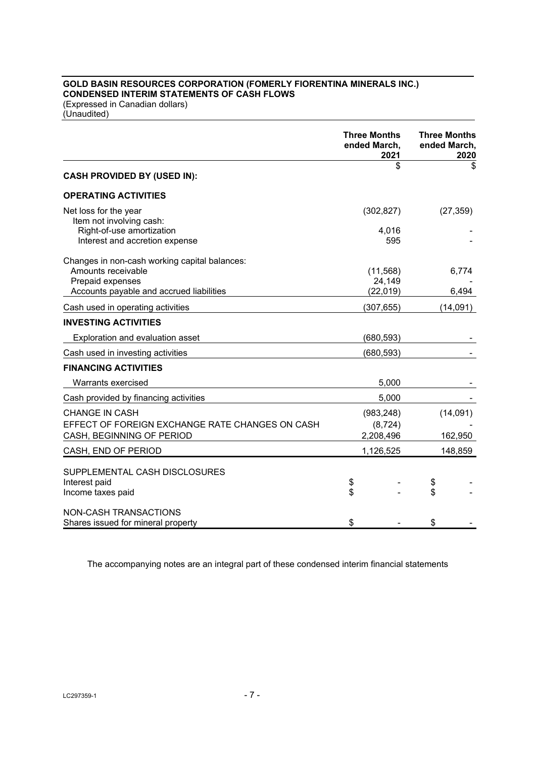# **GOLD BASIN RESOURCES CORPORATION (FOMERLY FIORENTINA MINERALS INC.) CONDENSED INTERIM STATEMENTS OF CASH FLOWS**

(Expressed in Canadian dollars) (Unaudited)

|                                                       | <b>Three Months</b><br>ended March,<br>2021 | <b>Three Months</b><br>ended March,<br>2020 |
|-------------------------------------------------------|---------------------------------------------|---------------------------------------------|
| <b>CASH PROVIDED BY (USED IN):</b>                    | \$                                          | \$                                          |
| <b>OPERATING ACTIVITIES</b>                           |                                             |                                             |
|                                                       |                                             |                                             |
| Net loss for the year                                 | (302, 827)                                  | (27, 359)                                   |
| Item not involving cash:<br>Right-of-use amortization | 4,016                                       |                                             |
| Interest and accretion expense                        | 595                                         |                                             |
| Changes in non-cash working capital balances:         |                                             |                                             |
| Amounts receivable                                    | (11, 568)                                   | 6,774                                       |
| Prepaid expenses                                      | 24,149                                      |                                             |
| Accounts payable and accrued liabilities              | (22, 019)                                   | 6,494                                       |
| Cash used in operating activities                     | (307, 655)                                  | (14,091)                                    |
| <b>INVESTING ACTIVITIES</b>                           |                                             |                                             |
| Exploration and evaluation asset                      | (680,593)                                   |                                             |
| Cash used in investing activities                     | (680, 593)                                  |                                             |
| <b>FINANCING ACTIVITIES</b>                           |                                             |                                             |
| Warrants exercised                                    | 5,000                                       |                                             |
| Cash provided by financing activities                 | 5,000                                       |                                             |
| <b>CHANGE IN CASH</b>                                 | (983, 248)                                  | (14,091)                                    |
| EFFECT OF FOREIGN EXCHANGE RATE CHANGES ON CASH       | (8, 724)                                    |                                             |
| CASH, BEGINNING OF PERIOD                             | 2,208,496                                   | 162,950                                     |
| CASH, END OF PERIOD                                   | 1,126,525                                   | 148,859                                     |
| SUPPLEMENTAL CASH DISCLOSURES                         |                                             |                                             |
| Interest paid                                         | \$                                          | \$                                          |
| Income taxes paid                                     | \$                                          | \$                                          |
| NON-CASH TRANSACTIONS                                 |                                             |                                             |
| Shares issued for mineral property                    | \$                                          | \$                                          |

The accompanying notes are an integral part of these condensed interim financial statements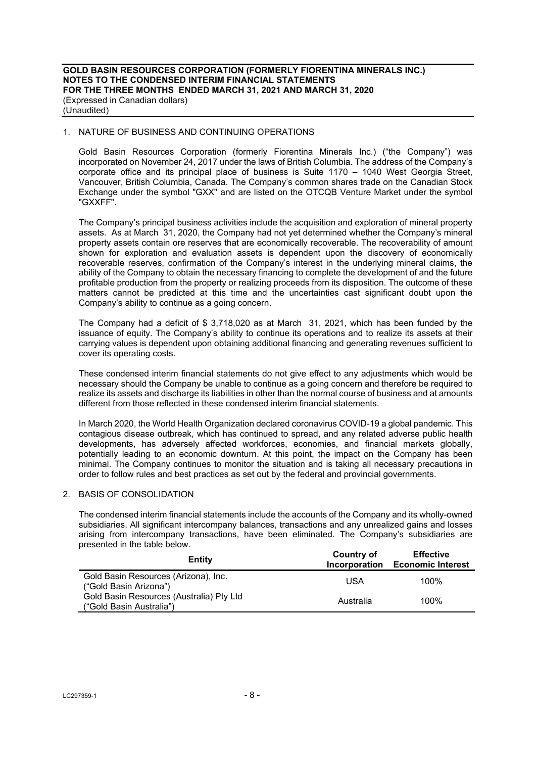### 1. NATURE OF BUSINESS AND CONTINUING OPERATIONS

Gold Basin Resources Corporation (formerly Fiorentina Minerals Inc.) ("the Company") was incorporated on November 24, 2017 under the laws of British Columbia. The address of the Company's corporate office and its principal place of business is Suite 1170 – 1040 West Georgia Street, Vancouver, British Columbia, Canada. The Company's common shares trade on the Canadian Stock Exchange under the symbol "GXX" and are listed on the OTCQB Venture Market under the symbol "GXXFF".

The Company's principal business activities include the acquisition and exploration of mineral property assets. As at March 31, 2020, the Company had not yet determined whether the Company's mineral property assets contain ore reserves that are economically recoverable. The recoverability of amount shown for exploration and evaluation assets is dependent upon the discovery of economically recoverable reserves, confirmation of the Company's interest in the underlying mineral claims, the ability of the Company to obtain the necessary financing to complete the development of and the future profitable production from the property or realizing proceeds from its disposition. The outcome of these matters cannot be predicted at this time and the uncertainties cast significant doubt upon the Company's ability to continue as a going concern.

The Company had a deficit of \$ 3,718,020 as at March 31, 2021, which has been funded by the issuance of equity. The Company's ability to continue its operations and to realize its assets at their carrying values is dependent upon obtaining additional financing and generating revenues sufficient to cover its operating costs.

These condensed interim financial statements do not give effect to any adjustments which would be necessary should the Company be unable to continue as a going concern and therefore be required to realize its assets and discharge its liabilities in other than the normal course of business and at amounts different from those reflected in these condensed interim financial statements.

In March 2020, the World Health Organization declared coronavirus COVID-19 a global pandemic. This contagious disease outbreak, which has continued to spread, and any related adverse public health developments, has adversely affected workforces, economies, and financial markets globally, potentially leading to an economic downturn. At this point, the impact on the Company has been minimal. The Company continues to monitor the situation and is taking all necessary precautions in order to follow rules and best practices as set out by the federal and provincial governments.

#### 2. BASIS OF CONSOLIDATION

The condensed interim financial statements include the accounts of the Company and its wholly-owned subsidiaries. All significant intercompany balances, transactions and any unrealized gains and losses arising from intercompany transactions, have been eliminated. The Company's subsidiaries are presented in the table below.

| Entity                                                               | Country of<br>Incorporation | <b>Effective</b><br><b>Economic Interest</b> |
|----------------------------------------------------------------------|-----------------------------|----------------------------------------------|
| Gold Basin Resources (Arizona), Inc.<br>("Gold Basin Arizona")       | USA                         | 100%                                         |
| Gold Basin Resources (Australia) Pty Ltd<br>("Gold Basin Australia") | Australia                   | 100%                                         |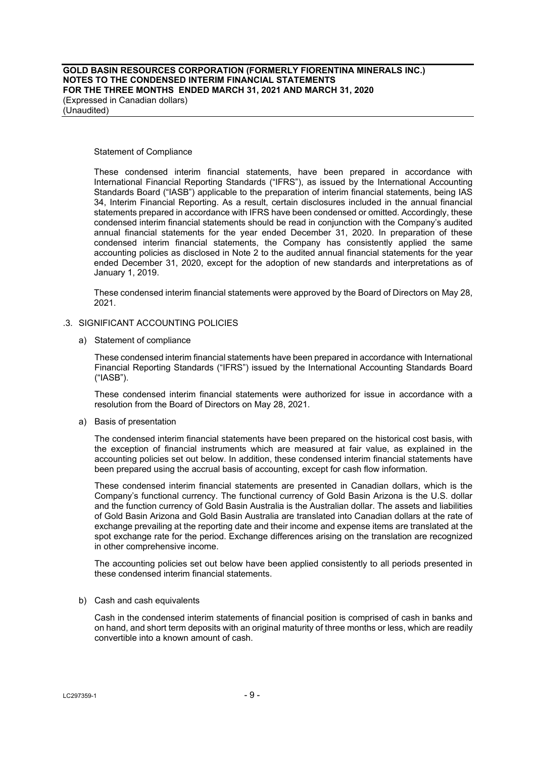**GOLD BASIN RESOURCES CORPORATION (FORMERLY FIORENTINA MINERALS INC.) NOTES TO THE CONDENSED INTERIM FINANCIAL STATEMENTS FOR THE THREE MONTHS ENDED MARCH 31, 2021 AND MARCH 31, 2020**  (Expressed in Canadian dollars) (Unaudited)

Statement of Compliance

These condensed interim financial statements, have been prepared in accordance with International Financial Reporting Standards ("IFRS"), as issued by the International Accounting Standards Board ("IASB") applicable to the preparation of interim financial statements, being IAS 34, Interim Financial Reporting. As a result, certain disclosures included in the annual financial statements prepared in accordance with IFRS have been condensed or omitted. Accordingly, these condensed interim financial statements should be read in conjunction with the Company's audited annual financial statements for the year ended December 31, 2020. In preparation of these condensed interim financial statements, the Company has consistently applied the same accounting policies as disclosed in Note 2 to the audited annual financial statements for the year ended December 31, 2020, except for the adoption of new standards and interpretations as of January 1, 2019.

These condensed interim financial statements were approved by the Board of Directors on May 28, 2021.

#### .3. SIGNIFICANT ACCOUNTING POLICIES

a) Statement of compliance

These condensed interim financial statements have been prepared in accordance with International Financial Reporting Standards ("IFRS") issued by the International Accounting Standards Board ("IASB").

These condensed interim financial statements were authorized for issue in accordance with a resolution from the Board of Directors on May 28, 2021.

a) Basis of presentation

The condensed interim financial statements have been prepared on the historical cost basis, with the exception of financial instruments which are measured at fair value, as explained in the accounting policies set out below. In addition, these condensed interim financial statements have been prepared using the accrual basis of accounting, except for cash flow information.

These condensed interim financial statements are presented in Canadian dollars, which is the Company's functional currency. The functional currency of Gold Basin Arizona is the U.S. dollar and the function currency of Gold Basin Australia is the Australian dollar. The assets and liabilities of Gold Basin Arizona and Gold Basin Australia are translated into Canadian dollars at the rate of exchange prevailing at the reporting date and their income and expense items are translated at the spot exchange rate for the period. Exchange differences arising on the translation are recognized in other comprehensive income.

The accounting policies set out below have been applied consistently to all periods presented in these condensed interim financial statements.

b) Cash and cash equivalents

Cash in the condensed interim statements of financial position is comprised of cash in banks and on hand, and short term deposits with an original maturity of three months or less, which are readily convertible into a known amount of cash.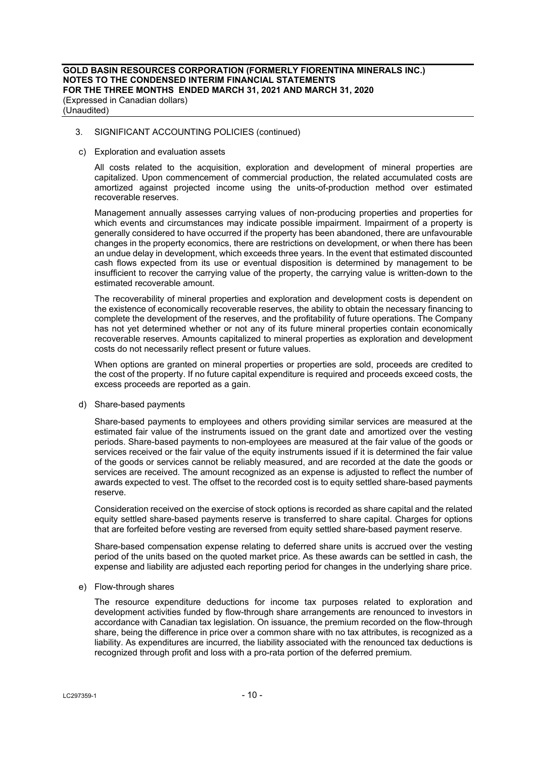c) Exploration and evaluation assets

All costs related to the acquisition, exploration and development of mineral properties are capitalized. Upon commencement of commercial production, the related accumulated costs are amortized against projected income using the units-of-production method over estimated recoverable reserves.

Management annually assesses carrying values of non-producing properties and properties for which events and circumstances may indicate possible impairment. Impairment of a property is generally considered to have occurred if the property has been abandoned, there are unfavourable changes in the property economics, there are restrictions on development, or when there has been an undue delay in development, which exceeds three years. In the event that estimated discounted cash flows expected from its use or eventual disposition is determined by management to be insufficient to recover the carrying value of the property, the carrying value is written-down to the estimated recoverable amount.

The recoverability of mineral properties and exploration and development costs is dependent on the existence of economically recoverable reserves, the ability to obtain the necessary financing to complete the development of the reserves, and the profitability of future operations. The Company has not yet determined whether or not any of its future mineral properties contain economically recoverable reserves. Amounts capitalized to mineral properties as exploration and development costs do not necessarily reflect present or future values.

When options are granted on mineral properties or properties are sold, proceeds are credited to the cost of the property. If no future capital expenditure is required and proceeds exceed costs, the excess proceeds are reported as a gain.

d) Share-based payments

Share-based payments to employees and others providing similar services are measured at the estimated fair value of the instruments issued on the grant date and amortized over the vesting periods. Share-based payments to non-employees are measured at the fair value of the goods or services received or the fair value of the equity instruments issued if it is determined the fair value of the goods or services cannot be reliably measured, and are recorded at the date the goods or services are received. The amount recognized as an expense is adjusted to reflect the number of awards expected to vest. The offset to the recorded cost is to equity settled share-based payments reserve.

Consideration received on the exercise of stock options is recorded as share capital and the related equity settled share-based payments reserve is transferred to share capital. Charges for options that are forfeited before vesting are reversed from equity settled share-based payment reserve.

Share-based compensation expense relating to deferred share units is accrued over the vesting period of the units based on the quoted market price. As these awards can be settled in cash, the expense and liability are adjusted each reporting period for changes in the underlying share price.

### e) Flow-through shares

The resource expenditure deductions for income tax purposes related to exploration and development activities funded by flow-through share arrangements are renounced to investors in accordance with Canadian tax legislation. On issuance, the premium recorded on the flow-through share, being the difference in price over a common share with no tax attributes, is recognized as a liability. As expenditures are incurred, the liability associated with the renounced tax deductions is recognized through profit and loss with a pro-rata portion of the deferred premium.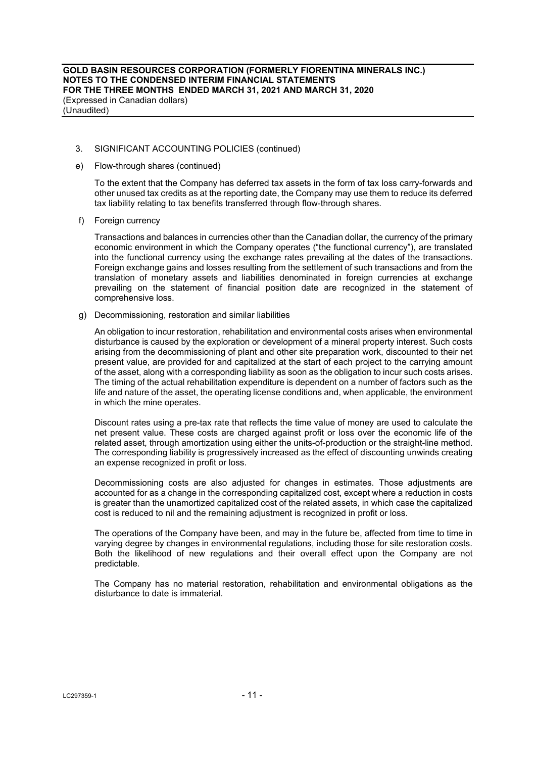**GOLD BASIN RESOURCES CORPORATION (FORMERLY FIORENTINA MINERALS INC.) NOTES TO THE CONDENSED INTERIM FINANCIAL STATEMENTS FOR THE THREE MONTHS ENDED MARCH 31, 2021 AND MARCH 31, 2020**  (Expressed in Canadian dollars) (Unaudited)

### 3. SIGNIFICANT ACCOUNTING POLICIES (continued)

e) Flow-through shares (continued)

To the extent that the Company has deferred tax assets in the form of tax loss carry-forwards and other unused tax credits as at the reporting date, the Company may use them to reduce its deferred tax liability relating to tax benefits transferred through flow-through shares.

f) Foreign currency

Transactions and balances in currencies other than the Canadian dollar, the currency of the primary economic environment in which the Company operates ("the functional currency"), are translated into the functional currency using the exchange rates prevailing at the dates of the transactions. Foreign exchange gains and losses resulting from the settlement of such transactions and from the translation of monetary assets and liabilities denominated in foreign currencies at exchange prevailing on the statement of financial position date are recognized in the statement of comprehensive loss.

g) Decommissioning, restoration and similar liabilities

An obligation to incur restoration, rehabilitation and environmental costs arises when environmental disturbance is caused by the exploration or development of a mineral property interest. Such costs arising from the decommissioning of plant and other site preparation work, discounted to their net present value, are provided for and capitalized at the start of each project to the carrying amount of the asset, along with a corresponding liability as soon as the obligation to incur such costs arises. The timing of the actual rehabilitation expenditure is dependent on a number of factors such as the life and nature of the asset, the operating license conditions and, when applicable, the environment in which the mine operates.

Discount rates using a pre-tax rate that reflects the time value of money are used to calculate the net present value. These costs are charged against profit or loss over the economic life of the related asset, through amortization using either the units-of-production or the straight-line method. The corresponding liability is progressively increased as the effect of discounting unwinds creating an expense recognized in profit or loss.

Decommissioning costs are also adjusted for changes in estimates. Those adjustments are accounted for as a change in the corresponding capitalized cost, except where a reduction in costs is greater than the unamortized capitalized cost of the related assets, in which case the capitalized cost is reduced to nil and the remaining adjustment is recognized in profit or loss.

The operations of the Company have been, and may in the future be, affected from time to time in varying degree by changes in environmental regulations, including those for site restoration costs. Both the likelihood of new regulations and their overall effect upon the Company are not predictable.

The Company has no material restoration, rehabilitation and environmental obligations as the disturbance to date is immaterial.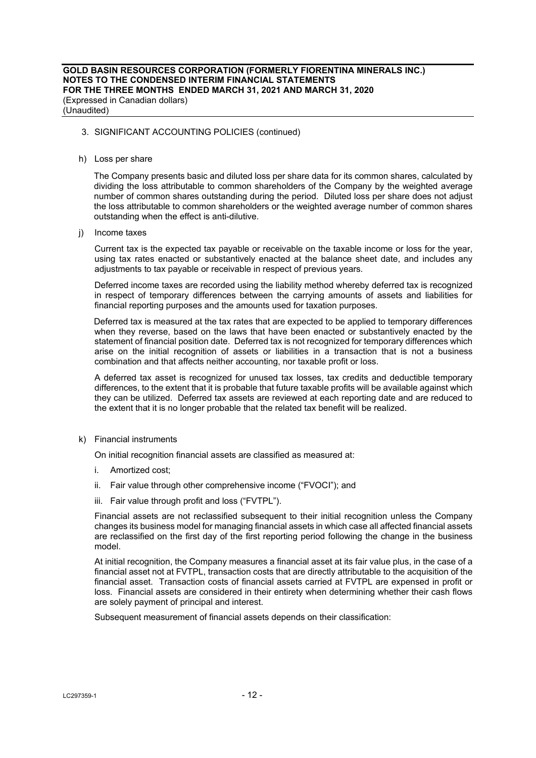h) Loss per share

 The Company presents basic and diluted loss per share data for its common shares, calculated by dividing the loss attributable to common shareholders of the Company by the weighted average number of common shares outstanding during the period. Diluted loss per share does not adjust the loss attributable to common shareholders or the weighted average number of common shares outstanding when the effect is anti-dilutive.

j) Income taxes

 Current tax is the expected tax payable or receivable on the taxable income or loss for the year, using tax rates enacted or substantively enacted at the balance sheet date, and includes any adjustments to tax payable or receivable in respect of previous years.

 Deferred income taxes are recorded using the liability method whereby deferred tax is recognized in respect of temporary differences between the carrying amounts of assets and liabilities for financial reporting purposes and the amounts used for taxation purposes.

 Deferred tax is measured at the tax rates that are expected to be applied to temporary differences when they reverse, based on the laws that have been enacted or substantively enacted by the statement of financial position date. Deferred tax is not recognized for temporary differences which arise on the initial recognition of assets or liabilities in a transaction that is not a business combination and that affects neither accounting, nor taxable profit or loss.

 A deferred tax asset is recognized for unused tax losses, tax credits and deductible temporary differences, to the extent that it is probable that future taxable profits will be available against which they can be utilized. Deferred tax assets are reviewed at each reporting date and are reduced to the extent that it is no longer probable that the related tax benefit will be realized.

k) Financial instruments

On initial recognition financial assets are classified as measured at:

- i. Amortized cost;
- ii. Fair value through other comprehensive income ("FVOCI"); and
- iii. Fair value through profit and loss ("FVTPL").

Financial assets are not reclassified subsequent to their initial recognition unless the Company changes its business model for managing financial assets in which case all affected financial assets are reclassified on the first day of the first reporting period following the change in the business model.

At initial recognition, the Company measures a financial asset at its fair value plus, in the case of a financial asset not at FVTPL, transaction costs that are directly attributable to the acquisition of the financial asset. Transaction costs of financial assets carried at FVTPL are expensed in profit or loss. Financial assets are considered in their entirety when determining whether their cash flows are solely payment of principal and interest.

Subsequent measurement of financial assets depends on their classification: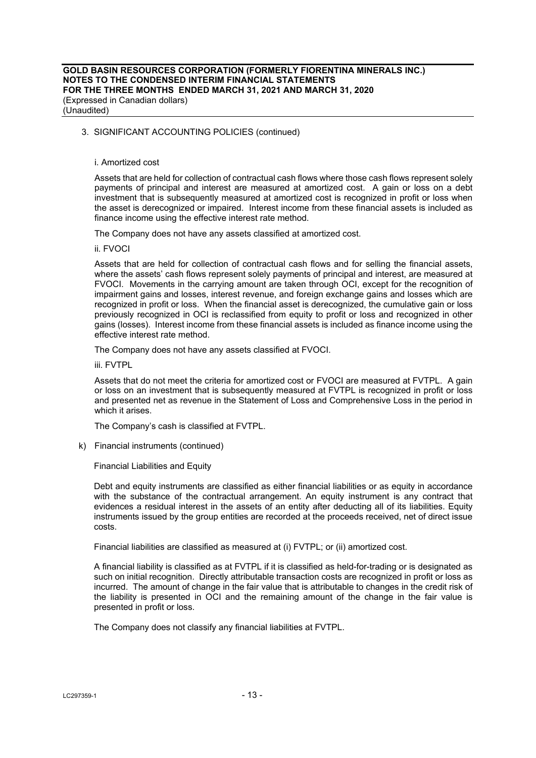#### i. Amortized cost

Assets that are held for collection of contractual cash flows where those cash flows represent solely payments of principal and interest are measured at amortized cost. A gain or loss on a debt investment that is subsequently measured at amortized cost is recognized in profit or loss when the asset is derecognized or impaired. Interest income from these financial assets is included as finance income using the effective interest rate method.

The Company does not have any assets classified at amortized cost.

ii. FVOCI

Assets that are held for collection of contractual cash flows and for selling the financial assets, where the assets' cash flows represent solely payments of principal and interest, are measured at FVOCI. Movements in the carrying amount are taken through OCI, except for the recognition of impairment gains and losses, interest revenue, and foreign exchange gains and losses which are recognized in profit or loss. When the financial asset is derecognized, the cumulative gain or loss previously recognized in OCI is reclassified from equity to profit or loss and recognized in other gains (losses). Interest income from these financial assets is included as finance income using the effective interest rate method.

The Company does not have any assets classified at FVOCI.

iii. FVTPL

Assets that do not meet the criteria for amortized cost or FVOCI are measured at FVTPL. A gain or loss on an investment that is subsequently measured at FVTPL is recognized in profit or loss and presented net as revenue in the Statement of Loss and Comprehensive Loss in the period in which it arises.

The Company's cash is classified at FVTPL.

k) Financial instruments (continued)

Financial Liabilities and Equity

Debt and equity instruments are classified as either financial liabilities or as equity in accordance with the substance of the contractual arrangement. An equity instrument is any contract that evidences a residual interest in the assets of an entity after deducting all of its liabilities. Equity instruments issued by the group entities are recorded at the proceeds received, net of direct issue costs.

Financial liabilities are classified as measured at (i) FVTPL; or (ii) amortized cost.

A financial liability is classified as at FVTPL if it is classified as held-for-trading or is designated as such on initial recognition. Directly attributable transaction costs are recognized in profit or loss as incurred. The amount of change in the fair value that is attributable to changes in the credit risk of the liability is presented in OCI and the remaining amount of the change in the fair value is presented in profit or loss.

The Company does not classify any financial liabilities at FVTPL.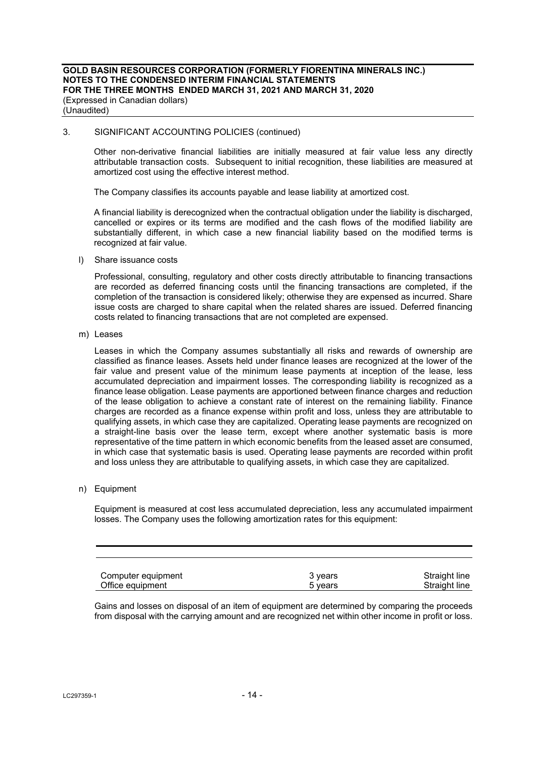Other non-derivative financial liabilities are initially measured at fair value less any directly attributable transaction costs. Subsequent to initial recognition, these liabilities are measured at amortized cost using the effective interest method.

The Company classifies its accounts payable and lease liability at amortized cost.

A financial liability is derecognized when the contractual obligation under the liability is discharged, cancelled or expires or its terms are modified and the cash flows of the modified liability are substantially different, in which case a new financial liability based on the modified terms is recognized at fair value.

l) Share issuance costs

Professional, consulting, regulatory and other costs directly attributable to financing transactions are recorded as deferred financing costs until the financing transactions are completed, if the completion of the transaction is considered likely; otherwise they are expensed as incurred. Share issue costs are charged to share capital when the related shares are issued. Deferred financing costs related to financing transactions that are not completed are expensed.

m) Leases

Leases in which the Company assumes substantially all risks and rewards of ownership are classified as finance leases. Assets held under finance leases are recognized at the lower of the fair value and present value of the minimum lease payments at inception of the lease, less accumulated depreciation and impairment losses. The corresponding liability is recognized as a finance lease obligation. Lease payments are apportioned between finance charges and reduction of the lease obligation to achieve a constant rate of interest on the remaining liability. Finance charges are recorded as a finance expense within profit and loss, unless they are attributable to qualifying assets, in which case they are capitalized. Operating lease payments are recognized on a straight-line basis over the lease term, except where another systematic basis is more representative of the time pattern in which economic benefits from the leased asset are consumed, in which case that systematic basis is used. Operating lease payments are recorded within profit and loss unless they are attributable to qualifying assets, in which case they are capitalized.

### n) Equipment

Equipment is measured at cost less accumulated depreciation, less any accumulated impairment losses. The Company uses the following amortization rates for this equipment:

| Computer equipment | 3 vears | Straight line |
|--------------------|---------|---------------|
| Office equipment   | 5 vears | Straight line |

Gains and losses on disposal of an item of equipment are determined by comparing the proceeds from disposal with the carrying amount and are recognized net within other income in profit or loss.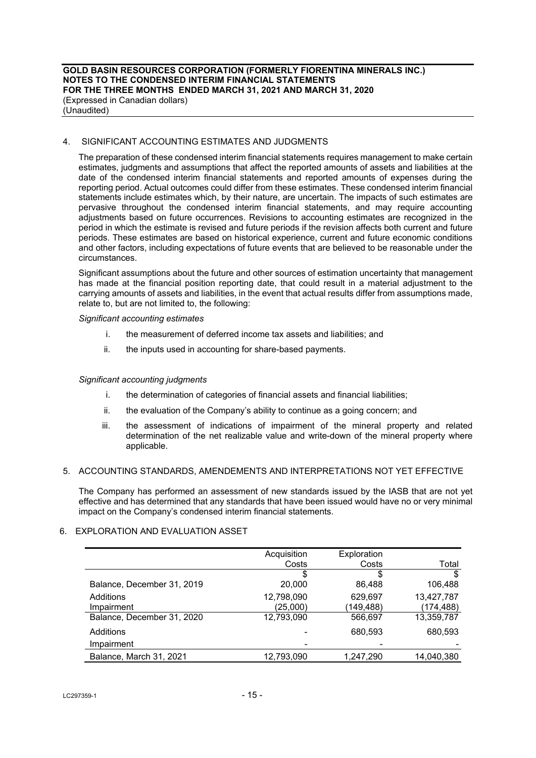### 4. SIGNIFICANT ACCOUNTING ESTIMATES AND JUDGMENTS

The preparation of these condensed interim financial statements requires management to make certain estimates, judgments and assumptions that affect the reported amounts of assets and liabilities at the date of the condensed interim financial statements and reported amounts of expenses during the reporting period. Actual outcomes could differ from these estimates. These condensed interim financial statements include estimates which, by their nature, are uncertain. The impacts of such estimates are pervasive throughout the condensed interim financial statements, and may require accounting adjustments based on future occurrences. Revisions to accounting estimates are recognized in the period in which the estimate is revised and future periods if the revision affects both current and future periods. These estimates are based on historical experience, current and future economic conditions and other factors, including expectations of future events that are believed to be reasonable under the circumstances.

Significant assumptions about the future and other sources of estimation uncertainty that management has made at the financial position reporting date, that could result in a material adjustment to the carrying amounts of assets and liabilities, in the event that actual results differ from assumptions made, relate to, but are not limited to, the following:

#### *Significant accounting estimates*

- i. the measurement of deferred income tax assets and liabilities; and
- ii. the inputs used in accounting for share-based payments.

#### *Significant accounting judgments*

- i. the determination of categories of financial assets and financial liabilities;
- ii. the evaluation of the Company's ability to continue as a going concern; and
- iii. the assessment of indications of impairment of the mineral property and related determination of the net realizable value and write-down of the mineral property where applicable.

#### 5. ACCOUNTING STANDARDS, AMENDEMENTS AND INTERPRETATIONS NOT YET EFFECTIVE

The Company has performed an assessment of new standards issued by the IASB that are not yet effective and has determined that any standards that have been issued would have no or very minimal impact on the Company's condensed interim financial statements.

# 6. EXPLORATION AND EVALUATION ASSET

|                            | Acquisition | Exploration |            |
|----------------------------|-------------|-------------|------------|
|                            | Costs       | Costs       | Total      |
|                            | S           | \$          | \$         |
| Balance, December 31, 2019 | 20,000      | 86,488      | 106,488    |
| Additions                  | 12,798,090  | 629,697     | 13,427,787 |
| Impairment                 | (25,000)    | (149,488)   | (174, 488) |
| Balance, December 31, 2020 | 12,793,090  | 566,697     | 13,359,787 |
| Additions                  |             | 680,593     | 680,593    |
| Impairment                 |             |             |            |
| Balance, March 31, 2021    | 12,793,090  | 1.247.290   | 14.040.380 |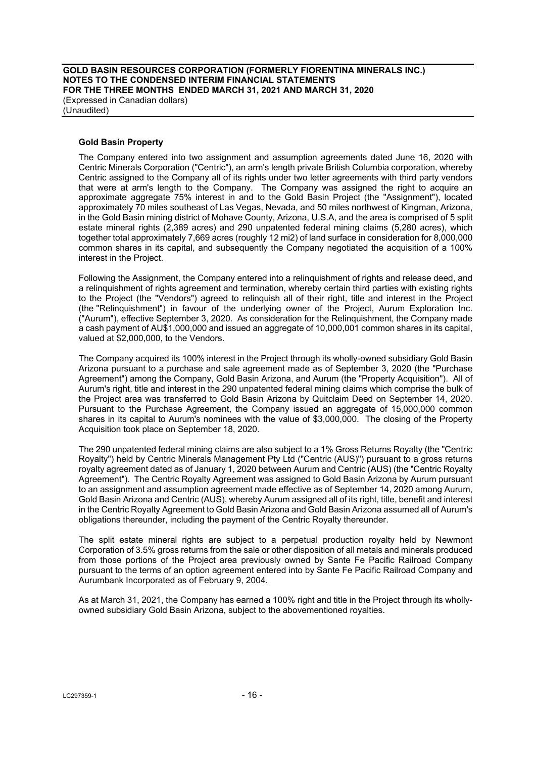**GOLD BASIN RESOURCES CORPORATION (FORMERLY FIORENTINA MINERALS INC.) NOTES TO THE CONDENSED INTERIM FINANCIAL STATEMENTS FOR THE THREE MONTHS ENDED MARCH 31, 2021 AND MARCH 31, 2020**  (Expressed in Canadian dollars) (Unaudited)

#### **Gold Basin Property**

The Company entered into two assignment and assumption agreements dated June 16, 2020 with Centric Minerals Corporation ("Centric"), an arm's length private British Columbia corporation, whereby Centric assigned to the Company all of its rights under two letter agreements with third party vendors that were at arm's length to the Company. The Company was assigned the right to acquire an approximate aggregate 75% interest in and to the Gold Basin Project (the "Assignment"), located approximately 70 miles southeast of Las Vegas, Nevada, and 50 miles northwest of Kingman, Arizona, in the Gold Basin mining district of Mohave County, Arizona, U.S.A, and the area is comprised of 5 split estate mineral rights (2,389 acres) and 290 unpatented federal mining claims (5,280 acres), which together total approximately 7,669 acres (roughly 12 mi2) of land surface in consideration for 8,000,000 common shares in its capital, and subsequently the Company negotiated the acquisition of a 100% interest in the Project.

Following the Assignment, the Company entered into a relinquishment of rights and release deed, and a relinquishment of rights agreement and termination, whereby certain third parties with existing rights to the Project (the "Vendors") agreed to relinquish all of their right, title and interest in the Project (the "Relinquishment") in favour of the underlying owner of the Project, Aurum Exploration Inc. ("Aurum"), effective September 3, 2020. As consideration for the Relinquishment, the Company made a cash payment of AU\$1,000,000 and issued an aggregate of 10,000,001 common shares in its capital, valued at \$2,000,000, to the Vendors.

The Company acquired its 100% interest in the Project through its wholly-owned subsidiary Gold Basin Arizona pursuant to a purchase and sale agreement made as of September 3, 2020 (the "Purchase Agreement") among the Company, Gold Basin Arizona, and Aurum (the "Property Acquisition"). All of Aurum's right, title and interest in the 290 unpatented federal mining claims which comprise the bulk of the Project area was transferred to Gold Basin Arizona by Quitclaim Deed on September 14, 2020. Pursuant to the Purchase Agreement, the Company issued an aggregate of 15,000,000 common shares in its capital to Aurum's nominees with the value of \$3,000,000. The closing of the Property Acquisition took place on September 18, 2020.

The 290 unpatented federal mining claims are also subject to a 1% Gross Returns Royalty (the "Centric Royalty") held by Centric Minerals Management Pty Ltd ("Centric (AUS)") pursuant to a gross returns royalty agreement dated as of January 1, 2020 between Aurum and Centric (AUS) (the "Centric Royalty Agreement"). The Centric Royalty Agreement was assigned to Gold Basin Arizona by Aurum pursuant to an assignment and assumption agreement made effective as of September 14, 2020 among Aurum, Gold Basin Arizona and Centric (AUS), whereby Aurum assigned all of its right, title, benefit and interest in the Centric Royalty Agreement to Gold Basin Arizona and Gold Basin Arizona assumed all of Aurum's obligations thereunder, including the payment of the Centric Royalty thereunder.

The split estate mineral rights are subject to a perpetual production royalty held by Newmont Corporation of 3.5% gross returns from the sale or other disposition of all metals and minerals produced from those portions of the Project area previously owned by Sante Fe Pacific Railroad Company pursuant to the terms of an option agreement entered into by Sante Fe Pacific Railroad Company and Aurumbank Incorporated as of February 9, 2004.

As at March 31, 2021, the Company has earned a 100% right and title in the Project through its whollyowned subsidiary Gold Basin Arizona, subject to the abovementioned royalties.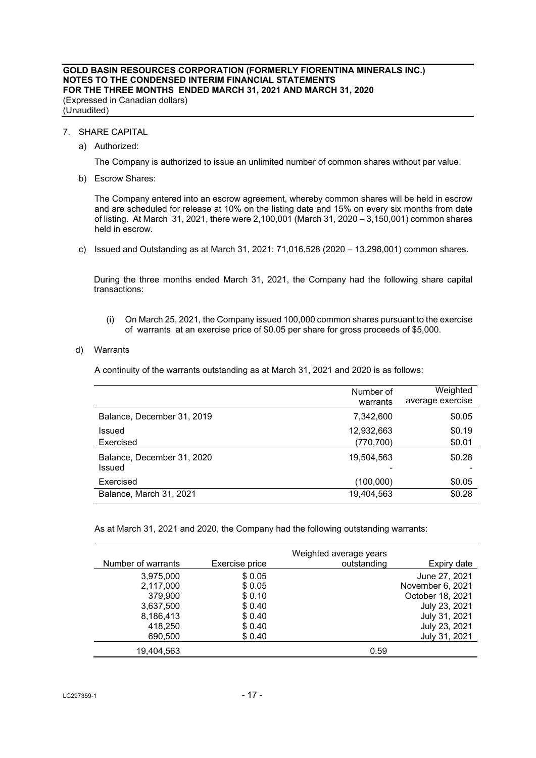#### **GOLD BASIN RESOURCES CORPORATION (FORMERLY FIORENTINA MINERALS INC.) NOTES TO THE CONDENSED INTERIM FINANCIAL STATEMENTS FOR THE THREE MONTHS ENDED MARCH 31, 2021 AND MARCH 31, 2020**  (Expressed in Canadian dollars) (Unaudited)

#### 7. SHARE CAPITAL

a) Authorized:

The Company is authorized to issue an unlimited number of common shares without par value.

b) Escrow Shares:

The Company entered into an escrow agreement, whereby common shares will be held in escrow and are scheduled for release at 10% on the listing date and 15% on every six months from date of listing. At March 31, 2021, there were 2,100,001 (March 31, 2020 – 3,150,001) common shares held in escrow.

c) Issued and Outstanding as at March 31, 2021: 71,016,528 (2020 – 13,298,001) common shares.

During the three months ended March 31, 2021, the Company had the following share capital transactions:

(i) On March 25, 2021, the Company issued 100,000 common shares pursuant to the exercise of warrants at an exercise price of \$0.05 per share for gross proceeds of \$5,000.

#### d) Warrants

A continuity of the warrants outstanding as at March 31, 2021 and 2020 is as follows:

|                                      | Number of<br>warrants    | Weighted<br>average exercise |
|--------------------------------------|--------------------------|------------------------------|
| Balance, December 31, 2019           | 7,342,600                | \$0.05                       |
| Issued<br>Exercised                  | 12,932,663<br>(770, 700) | \$0.19<br>\$0.01             |
| Balance, December 31, 2020<br>Issued | 19,504,563               | \$0.28                       |
| Exercised                            | (100,000)                | \$0.05                       |
| Balance, March 31, 2021              | 19,404,563               | \$0.28                       |

As at March 31, 2021 and 2020, the Company had the following outstanding warrants:

|                    |                | Weighted average years |                  |
|--------------------|----------------|------------------------|------------------|
| Number of warrants | Exercise price | outstanding            | Expiry date      |
| 3,975,000          | \$0.05         |                        | June 27, 2021    |
| 2,117,000          | \$0.05         |                        | November 6, 2021 |
| 379,900            | \$0.10         |                        | October 18, 2021 |
| 3,637,500          | \$0.40         |                        | July 23, 2021    |
| 8,186,413          | \$0.40         |                        | July 31, 2021    |
| 418,250            | \$0.40         |                        | July 23, 2021    |
| 690,500            | \$0.40         |                        | July 31, 2021    |
| 19,404,563         |                | 0.59                   |                  |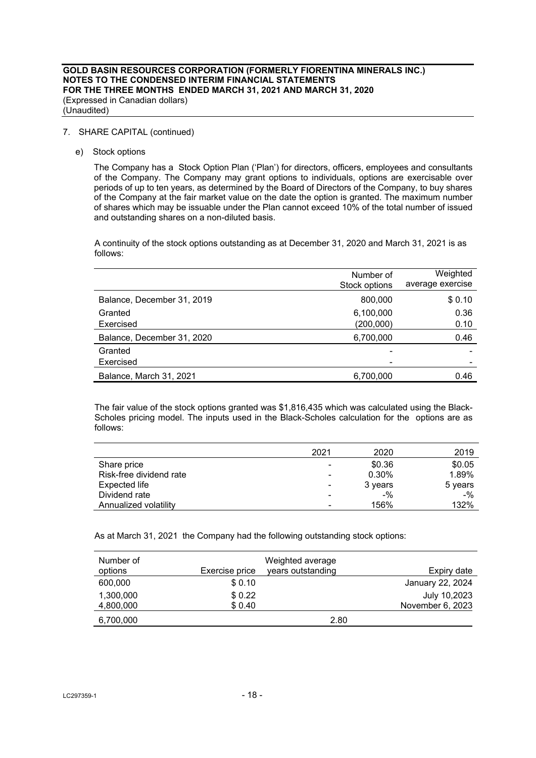### 7. SHARE CAPITAL (continued)

e) Stock options

The Company has a Stock Option Plan ('Plan') for directors, officers, employees and consultants of the Company. The Company may grant options to individuals, options are exercisable over periods of up to ten years, as determined by the Board of Directors of the Company, to buy shares of the Company at the fair market value on the date the option is granted. The maximum number of shares which may be issuable under the Plan cannot exceed 10% of the total number of issued and outstanding shares on a non-diluted basis.

A continuity of the stock options outstanding as at December 31, 2020 and March 31, 2021 is as follows:

|                            | Number of<br>Stock options | Weighted<br>average exercise |
|----------------------------|----------------------------|------------------------------|
| Balance, December 31, 2019 | 800,000                    | \$0.10                       |
| Granted<br>Exercised       | 6,100,000<br>(200,000)     | 0.36<br>0.10                 |
| Balance, December 31, 2020 | 6,700,000                  | 0.46                         |
| Granted<br>Exercised       | -                          |                              |
| Balance, March 31, 2021    | 6,700,000                  | 0.46                         |

The fair value of the stock options granted was \$1,816,435 which was calculated using the Black-Scholes pricing model. The inputs used in the Black-Scholes calculation for the options are as follows:

|                         | 2021 | 2020    | 2019    |
|-------------------------|------|---------|---------|
| Share price             | -    | \$0.36  | \$0.05  |
| Risk-free dividend rate |      | 0.30%   | 1.89%   |
| Expected life           | ۰    | 3 years | 5 years |
| Dividend rate           | -    | $-$ %   | $-$ %   |
| Annualized volatility   |      | 156%    | 132%    |

As at March 31, 2021 the Company had the following outstanding stock options:

| Number of<br>options   | Exercise price   | Weighted average<br>years outstanding | Expiry date                      |
|------------------------|------------------|---------------------------------------|----------------------------------|
| 600,000                | \$0.10           |                                       | January 22, 2024                 |
| 1,300,000<br>4,800,000 | \$0.22<br>\$0.40 |                                       | July 10,2023<br>November 6, 2023 |
| 6,700,000              |                  | 2.80                                  |                                  |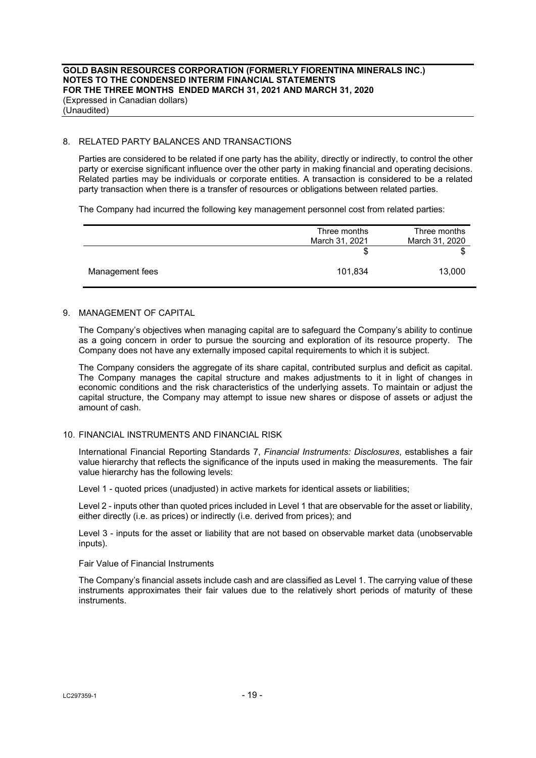#### 8. RELATED PARTY BALANCES AND TRANSACTIONS

Parties are considered to be related if one party has the ability, directly or indirectly, to control the other party or exercise significant influence over the other party in making financial and operating decisions. Related parties may be individuals or corporate entities. A transaction is considered to be a related party transaction when there is a transfer of resources or obligations between related parties.

The Company had incurred the following key management personnel cost from related parties:

|                 | Three months<br>March 31, 2021 | Three months<br>March 31, 2020 |
|-----------------|--------------------------------|--------------------------------|
|                 | \$                             |                                |
| Management fees | 101,834                        | 13,000                         |

# 9. MANAGEMENT OF CAPITAL

The Company's objectives when managing capital are to safeguard the Company's ability to continue as a going concern in order to pursue the sourcing and exploration of its resource property. The Company does not have any externally imposed capital requirements to which it is subject.

The Company considers the aggregate of its share capital, contributed surplus and deficit as capital. The Company manages the capital structure and makes adjustments to it in light of changes in economic conditions and the risk characteristics of the underlying assets. To maintain or adjust the capital structure, the Company may attempt to issue new shares or dispose of assets or adjust the amount of cash.

#### 10. FINANCIAL INSTRUMENTS AND FINANCIAL RISK

International Financial Reporting Standards 7, *Financial Instruments: Disclosures*, establishes a fair value hierarchy that reflects the significance of the inputs used in making the measurements. The fair value hierarchy has the following levels:

Level 1 - quoted prices (unadjusted) in active markets for identical assets or liabilities;

Level 2 - inputs other than quoted prices included in Level 1 that are observable for the asset or liability, either directly (i.e. as prices) or indirectly (i.e. derived from prices); and

Level 3 - inputs for the asset or liability that are not based on observable market data (unobservable inputs).

Fair Value of Financial Instruments

The Company's financial assets include cash and are classified as Level 1. The carrying value of these instruments approximates their fair values due to the relatively short periods of maturity of these instruments.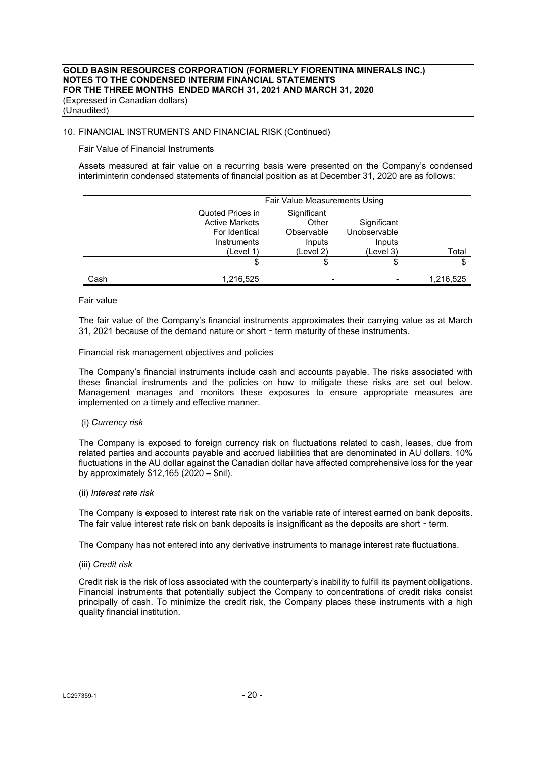# 10. FINANCIAL INSTRUMENTS AND FINANCIAL RISK (Continued)

Fair Value of Financial Instruments

Assets measured at fair value on a recurring basis were presented on the Company's condensed interiminterin condensed statements of financial position as at December 31, 2020 are as follows:

|      |                                                                                        | Fair Value Measurements Using                             |                                                    |           |
|------|----------------------------------------------------------------------------------------|-----------------------------------------------------------|----------------------------------------------------|-----------|
|      | Quoted Prices in<br><b>Active Markets</b><br>For Identical<br>Instruments<br>(Level 1) | Significant<br>Other<br>Observable<br>Inputs<br>(Level 2) | Significant<br>Unobservable<br>Inputs<br>(Level 3) | Total     |
|      | \$                                                                                     | \$                                                        | \$                                                 | \$        |
| Cash | 1,216,525                                                                              | $\blacksquare$                                            |                                                    | 1,216,525 |

Fair value

The fair value of the Company's financial instruments approximates their carrying value as at March 31, 2021 because of the demand nature or short - term maturity of these instruments.

Financial risk management objectives and policies

The Company's financial instruments include cash and accounts payable. The risks associated with these financial instruments and the policies on how to mitigate these risks are set out below. Management manages and monitors these exposures to ensure appropriate measures are implemented on a timely and effective manner.

#### (i) *Currency risk*

The Company is exposed to foreign currency risk on fluctuations related to cash, leases, due from related parties and accounts payable and accrued liabilities that are denominated in AU dollars. 10% fluctuations in the AU dollar against the Canadian dollar have affected comprehensive loss for the year by approximately \$12,165 (2020 – \$nil).

(ii) *Interest rate risk* 

The Company is exposed to interest rate risk on the variable rate of interest earned on bank deposits. The fair value interest rate risk on bank deposits is insignificant as the deposits are short - term.

The Company has not entered into any derivative instruments to manage interest rate fluctuations.

#### (iii) *Credit risk*

Credit risk is the risk of loss associated with the counterparty's inability to fulfill its payment obligations. Financial instruments that potentially subject the Company to concentrations of credit risks consist principally of cash. To minimize the credit risk, the Company places these instruments with a high quality financial institution.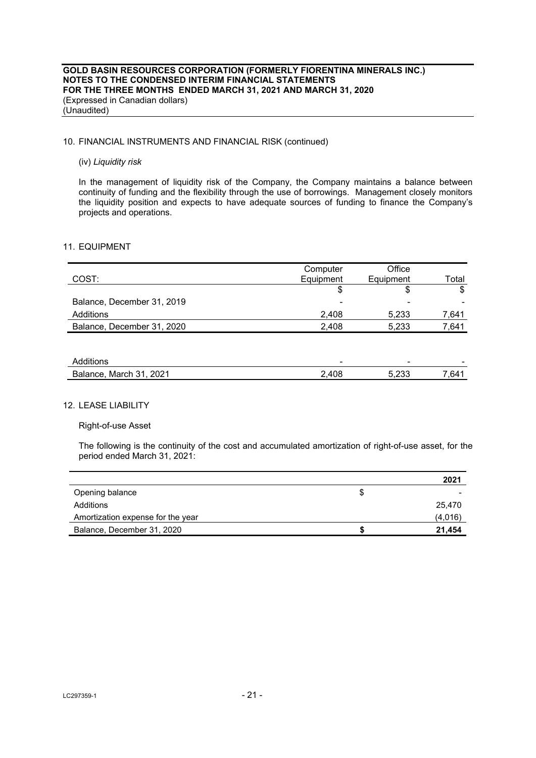### 10. FINANCIAL INSTRUMENTS AND FINANCIAL RISK (continued)

#### (iv) *Liquidity risk*

In the management of liquidity risk of the Company, the Company maintains a balance between continuity of funding and the flexibility through the use of borrowings. Management closely monitors the liquidity position and expects to have adequate sources of funding to finance the Company's projects and operations.

#### 11. EQUIPMENT

|                            | Computer  | Office    |       |
|----------------------------|-----------|-----------|-------|
| COST:                      | Equipment | Equipment | Total |
|                            | \$        | \$        | \$    |
| Balance, December 31, 2019 | -         |           |       |
| Additions                  | 2,408     | 5,233     | 7,641 |
| Balance, December 31, 2020 | 2,408     | 5,233     | 7,641 |
|                            |           |           |       |
|                            |           |           |       |
| Additions                  |           |           |       |
| Balance, March 31, 2021    | 2.408     | 5,233     | 7.641 |

### 12. LEASE LIABILITY

#### Right-of-use Asset

The following is the continuity of the cost and accumulated amortization of right-of-use asset, for the period ended March 31, 2021:

|                                   | 2021    |
|-----------------------------------|---------|
| Opening balance                   |         |
| Additions                         | 25.470  |
| Amortization expense for the year | (4.016) |
| Balance, December 31, 2020        | 21.454  |